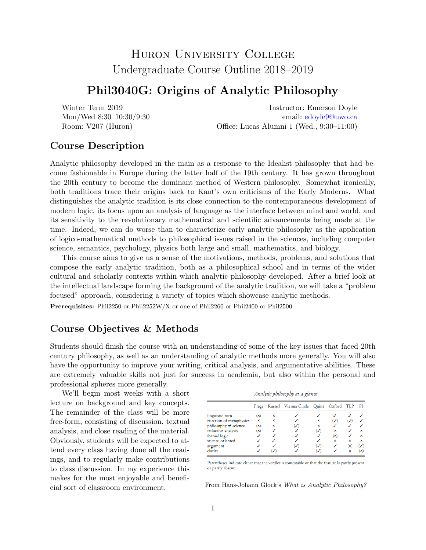# Huron University College Undergraduate Course Outline 2018–2019

### Phil3040G: Origins of Analytic Philosophy

Winter Term 2019 Mon/Wed 8:30–10:30/9:30 Room: V207 (Huron)

Instructor: Emerson Doyle email: [edoyle9@uwo.ca](mailto:edoyle9@uwo.ca) Office: Lucas Alumni 1 (Wed., 9:30–11:00)

#### Course Description

Analytic philosophy developed in the main as a response to the Idealist philosophy that had become fashionable in Europe during the latter half of the 19th century. It has grown throughout the 20th century to become the dominant method of Western philosophy. Somewhat ironically, both traditions trace their origins back to Kant's own criticisms of the Early Moderns. What distinguishes the analytic tradition is its close connection to the contemporaneous development of modern logic, its focus upon an analysis of language as the interface between mind and world, and its sensitivity to the revolutionary mathematical and scientific advancements being made at the time. Indeed, we can do worse than to characterize early analytic philosophy as the application of logico-mathematical methods to philosophical issues raised in the sciences, including computer science, semantics, psychology, physics both large and small, mathematics, and biology.

This course aims to give us a sense of the motivations, methods, problems, and solutions that compose the early analytic tradition, both as a philosophical school and in terms of the wider cultural and scholarly contexts within which analytic philosophy developed. After a brief look at the intellectual landscape forming the background of the analytic tradition, we will take a "problem focused" approach, considering a variety of topics which showcase analytic methods.

Prerequisites: Phil2250 or Phil2252W/X or one of Phil2260 or Phil2400 or Phil2500

#### Course Objectives & Methods

Students should finish the course with an understanding of some of the key issues that faced 20th century philosophy, as well as an understanding of analytic methods more generally. You will also have the opportunity to improve your writing, critical analysis, and argumentative abilities. These are extremely valuable skills not just for success in academia, but also within the personal and professional spheres more generally.

We'll begin most weeks with a short lecture on background and key concepts. The remainder of the class will be more free-form, consisting of discussion, textual analysis, and close reading of the material. Obviously, students will be expected to attend every class having done all the readings, and to regularly make contributions to class discussion. In my experience this makes for the most enjoyable and beneficial sort of classroom environment.

|  | .                                               |  |  |
|--|-------------------------------------------------|--|--|
|  | Frege Russell Vienna Circle Quine Oxford TLP PI |  |  |
|  |                                                 |  |  |

Analytic philosophy at a glance

| linguistic turn           | × | × |   |   |   |    |                           |
|---------------------------|---|---|---|---|---|----|---------------------------|
| rejection of metaphysics  | × | × |   | × | ✓ | ✓  |                           |
| $philosophy \neq science$ | × | × | V | × |   |    |                           |
| reductive analysis        | × |   |   | ✓ | × |    | ×                         |
| formal logic              |   |   |   |   | × |    | $\boldsymbol{\mathsf{x}}$ |
| science oriented          |   |   |   |   | × | ×  | ×                         |
| argument                  |   |   | ✓ | ✓ |   | (x | ✓                         |
| clarity                   |   |   |   | ✓ |   | ×  | (x                        |
|                           |   |   |   |   |   |    |                           |

Parentheses indicate either that the verdict is contestable or that the feature is partly present or partly absent.

From Hans-Johann Glock's What is Analytic Philosophy?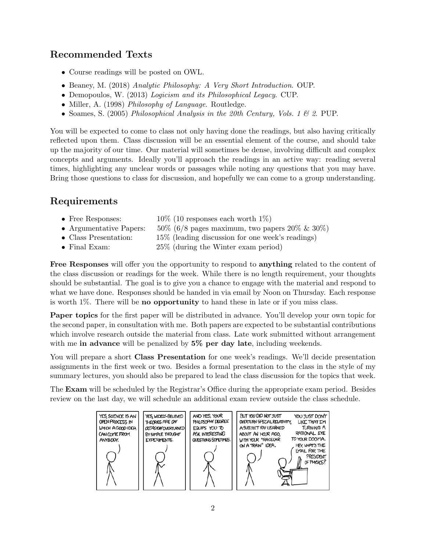## Recommended Texts

- Course readings will be posted on OWL.
- Beaney, M. (2018) Analytic Philosophy: A Very Short Introduction. OUP.
- Demopoulos, W. (2013) Logicism and its Philosophical Legacy. CUP.
- Miller, A. (1998) *Philosophy of Language*. Routledge.
- Soames, S. (2005) Philosophical Analysis in the 20th Century, Vols. 1  $\&$  2. PUP.

You will be expected to come to class not only having done the readings, but also having critically reflected upon them. Class discussion will be an essential element of the course, and should take up the majority of our time. Our material will sometimes be dense, involving difficult and complex concepts and arguments. Ideally you'll approach the readings in an active way: reading several times, highlighting any unclear words or passages while noting any questions that you may have. Bring those questions to class for discussion, and hopefully we can come to a group understanding.

### Requirements

- Free Responses:  $10\%$  (10 responses each worth  $1\%$ )
- Argumentative Papers:  $50\%$  (6/8 pages maximum, two papers 20% & 30%)
- Class Presentation: 15% (leading discussion for one week's readings)
- Final Exam: 25% (during the Winter exam period)

Free Responses will offer you the opportunity to respond to anything related to the content of the class discussion or readings for the week. While there is no length requirement, your thoughts should be substantial. The goal is to give you a chance to engage with the material and respond to what we have done. Responses should be handed in via email by Noon on Thursday. Each response is worth 1%. There will be no opportunity to hand these in late or if you miss class.

Paper topics for the first paper will be distributed in advance. You'll develop your own topic for the second paper, in consultation with me. Both papers are expected to be substantial contributions which involve research outside the material from class. Late work submitted without arrangement with me in advance will be penalized by 5% per day late, including weekends.

You will prepare a short **Class Presentation** for one week's readings. We'll decide presentation assignments in the first week or two. Besides a formal presentation to the class in the style of my summary lectures, you should also be prepared to lead the class discussion for the topics that week.

The Exam will be scheduled by the Registrar's Office during the appropriate exam period. Besides review on the last day, we will schedule an additional exam review outside the class schedule.

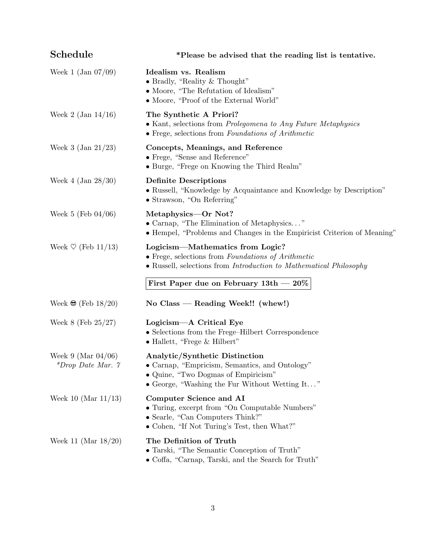| Schedule                                          | *Please be advised that the reading list is tentative.                                                                                                                    |  |  |
|---------------------------------------------------|---------------------------------------------------------------------------------------------------------------------------------------------------------------------------|--|--|
| Week 1 $(Jan 07/09)$                              | Idealism vs. Realism<br>• Bradly, "Reality $&$ Thought"<br>• Moore, "The Refutation of Idealism"<br>• Moore, "Proof of the External World"                                |  |  |
| Week 2 $($ Jan 14 $/16)$                          | The Synthetic A Priori?<br>• Kant, selections from Prolegomena to Any Future Metaphysics<br>• Frege, selections from Foundations of Arithmetic                            |  |  |
| Week 3 $(Jan 21/23)$                              | Concepts, Meanings, and Reference<br>• Frege, "Sense and Reference"<br>• Burge, "Frege on Knowing the Third Realm"                                                        |  |  |
| Week 4 $(Jan 28/30)$                              | <b>Definite Descriptions</b><br>• Russell, "Knowledge by Acquaintance and Knowledge by Description"<br>• Strawson, "On Referring"                                         |  |  |
| Week 5 (Feb $04/06$ )                             | Metaphysics—Or Not?<br>• Carnap, "The Elimination of Metaphysics"<br>• Hempel, "Problems and Changes in the Empiricist Criterion of Meaning"                              |  |  |
| Week $\heartsuit$ (Feb 11/13)                     | Logicism—Mathematics from Logic?<br>• Frege, selections from Foundations of Arithmetic<br>• Russell, selections from <i>Introduction to Mathematical Philosophy</i>       |  |  |
|                                                   | First Paper due on February $13th - 20\%$                                                                                                                                 |  |  |
| Week $\bigcirc$ (Feb 18/20)                       | No Class — Reading Week!! (whew!)                                                                                                                                         |  |  |
| Week $8$ (Feb $25/27$ )                           | Logicism—A Critical Eye<br>• Selections from the Frege-Hilbert Correspondence<br>$\bullet$ Hallett, "Frege & Hilbert"                                                     |  |  |
| Week 9 (Mar $04/06$ )<br>*Drop Date Mar. $\gamma$ | Analytic/Synthetic Distinction<br>• Carnap, "Empricism, Semantics, and Ontology"<br>• Quine, "Two Dogmas of Empiricism"<br>• George, "Washing the Fur Without Wetting It" |  |  |
| Week 10 (Mar $11/13$ )                            | Computer Science and AI<br>• Turing, excerpt from "On Computable Numbers"<br>• Searle, "Can Computers Think?"<br>• Cohen, "If Not Turing's Test, then What?"              |  |  |
| Week 11 (Mar $18/20$ )                            | The Definition of Truth<br>• Tarski, "The Semantic Conception of Truth"<br>• Coffa, "Carnap, Tarski, and the Search for Truth"                                            |  |  |